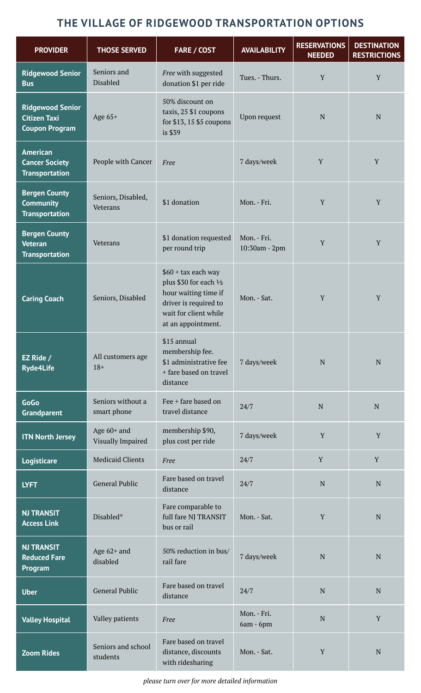# **THE VILLAGE OF RIDGEWOOD TRANSPORTATION OPTIONS**

| <b>PROVIDER</b>                                                         | <b>THOSE SERVED</b>              | <b>FARE / COST</b>                                                                                                                             | <b>AVAILABILITY</b>          | <b>RESERVATIONS</b><br><b>NEEDED</b> | <b>DESTINATION</b><br><b>RESTRICTIONS</b> |
|-------------------------------------------------------------------------|----------------------------------|------------------------------------------------------------------------------------------------------------------------------------------------|------------------------------|--------------------------------------|-------------------------------------------|
| <b>Ridgewood Senior</b><br><b>Bus</b>                                   | Seniors and<br>Disabled          | Free with suggested<br>donation \$1 per ride                                                                                                   | Tues. - Thurs.               | Y                                    | Y                                         |
| <b>Ridgewood Senior</b><br><b>Citizen Taxi</b><br><b>Coupon Program</b> | Age 65+                          | 50% discount on<br>taxis, 25 \$1 coupons<br>for \$13, 15 \$5 coupons<br>is \$39                                                                | Upon request                 | $\mathbf N$                          | N                                         |
| <b>American</b><br><b>Cancer Society</b><br><b>Transportation</b>       | People with Cancer               | Free                                                                                                                                           | 7 days/week                  | Y                                    | Y                                         |
| <b>Bergen County</b><br><b>Community</b><br><b>Transportation</b>       | Seniors, Disabled,<br>Veterans   | \$1 donation                                                                                                                                   | Mon. - Fri.                  | Y                                    | Y                                         |
| <b>Bergen County</b><br><b>Veteran</b><br><b>Transportation</b>         | Veterans                         | \$1 donation requested<br>per round trip                                                                                                       | Mon. - Fri.<br>10:30am - 2pm | Y                                    | Y                                         |
| <b>Caring Coach</b>                                                     | Seniors, Disabled                | $$60 + tax$ each way<br>plus \$30 for each 1/2<br>hour waiting time if<br>driver is required to<br>wait for client while<br>at an appointment. | Mon. - Sat.                  | Y                                    | Y                                         |
| EZ Ride /<br><b>Ryde4Life</b>                                           | All customers age<br>$18+$       | \$15 annual<br>membership fee.<br>\$1 administrative fee<br>+ fare based on travel<br>distance                                                 | 7 days/week                  | N                                    | N                                         |
| GoGo<br><b>Grandparent</b>                                              | Seniors without a<br>smart phone | Fee + fare based on<br>travel distance                                                                                                         | 24/7                         | $\mathbf N$                          | ${\bf N}$                                 |
| <b>ITN North Jersey</b>                                                 | Age 60+ and<br>Visually Impaired | membership \$90,<br>plus cost per ride                                                                                                         | 7 days/week                  | Y                                    | Y                                         |
| Logisticare                                                             | <b>Medicaid Clients</b>          | Free                                                                                                                                           | 24/7                         | Y                                    | Y                                         |
| <b>LYFT</b>                                                             | <b>General Public</b>            | Fare based on travel<br>distance                                                                                                               | 24/7                         | $\mathbf N$                          | ${\bf N}$                                 |
| <b>NJ TRANSIT</b><br><b>Access Link</b>                                 | Disabled*                        | Fare comparable to<br>full fare NJ TRANSIT<br>bus or rail                                                                                      | Mon. - Sat.                  | Y                                    | ${\bf N}$                                 |
| <b>NJ TRANSIT</b><br><b>Reduced Fare</b><br>Program                     | Age $62+$ and<br>disabled        | 50% reduction in bus/<br>rail fare                                                                                                             | 7 days/week                  | N                                    | N                                         |
| <b>Uber</b>                                                             | <b>General Public</b>            | Fare based on travel<br>distance                                                                                                               | 24/7                         | $\mathbf N$                          | ${\bf N}$                                 |
| <b>Valley Hospital</b>                                                  | Valley patients                  | Free                                                                                                                                           | Mon. - Fri.<br>$6am - 6pm$   | $\mathbf N$                          | Y                                         |
| <b>Zoom Rides</b>                                                       | Seniors and school<br>students   | Fare based on travel<br>distance, discounts<br>with ridesharing                                                                                | Mon. - Sat.                  | $\mathbf Y$                          | ${\bf N}$                                 |

*please turn over for more detailed information*